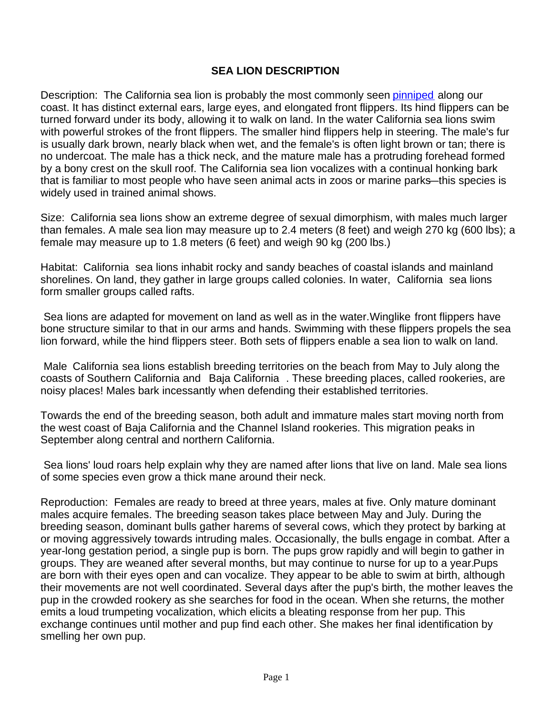## **SEA LION DESCRIPTION**

Description: The California sea lion is probably the most commonly seen pinniped along our coast. It has distinct external ears, large eyes, and elongated front flippers. Its hind flippers can be turned forward under its body, allowing it to walk on land. In the water California sea lions swim with powerful strokes of the front flippers. The smaller hind flippers help in steering. The male's fur is usually dark brown, nearly black when wet, and the female's is often light brown or tan; there is no undercoat. The male has a thick neck, and the mature male has a protruding forehead formed by a bony crest on the skull roof. The California sea lion vocalizes with a continual honking bark that is familiar to most people who have seen animal acts in zoos or marine parks—this species is widely used in trained animal shows.

Size: California sea lions show an extreme degree of sexual dimorphism, with males much larger than females. A male sea lion may measure up to 2.4 meters (8 feet) and weigh 270 kg (600 lbs); a female may measure up to 1.8 meters (6 feet) and weigh 90 kg (200 lbs.)

Habitat: California sea lions inhabit rocky and sandy beaches of coastal islands and mainland shorelines. On land, they gather in large groups called colonies. In water, California sea lions form smaller groups called rafts.

 Sea lions are adapted for movement on land as well as in the water. Winglike front flippers have bone structure similar to that in our arms and hands. Swimming with these flippers propels the sea lion forward, while the hind flippers steer. Both sets of flippers enable a sea lion to walk on land.

 Male California sea lions establish breeding territories on the beach from May to July along the coasts of Southern California and Baja California . These breeding places, called rookeries, are noisy places! Males bark incessantly when defending their established territories.

Towards the end of the breeding season, both adult and immature males start moving north from the west coast of Baja California and the Channel Island rookeries. This migration peaks in September along central and northern California.

 Sea lions' loud roars help explain why they are named after lions that live on land. Male sea lions of some species even grow a thick mane around their neck.

Reproduction: Females are ready to breed at three years, males at five. Only mature dominant males acquire females. The breeding season takes place between May and July. During the breeding season, dominant bulls gather harems of several cows, which they protect by barking at or moving aggressively towards intruding males. Occasionally, the bulls engage in combat. After a year-long gestation period, a single pup is born. The pups grow rapidly and will begin to gather in groups. They are weaned after several months, but may continue to nurse for up to a year. Pups are born with their eyes open and can vocalize. They appear to be able to swim at birth, although their movements are not well coordinated. Several days after the pup's birth, the mother leaves the pup in the crowded rookery as she searches for food in the ocean. When she returns, the mother emits a loud trumpeting vocalization, which elicits a bleating response from her pup. This exchange continues until mother and pup find each other. She makes her final identification by smelling her own pup.